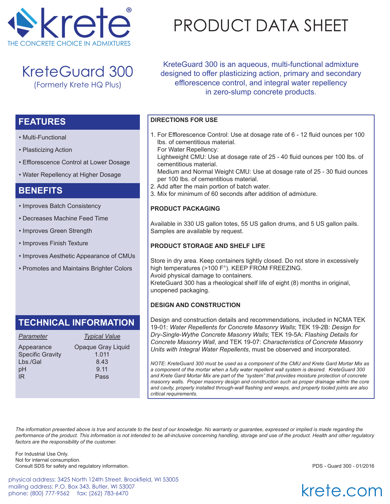

KreteGuard 300 (Formerly Krete HQ Plus)

• Efflorescence Control at Lower Dosage

• Water Repellency at Higher Dosage

• Improves Batch Consistency • Decreases Machine Feed Time

• Improves Green Strength

• Improves Finish Texture

• Multi-Functional

**FEATURES**

**BENEFITS**

• Plasticizing Action

# PRODUCT DATA SHEET

KreteGuard 300 is an aqueous, multi-functional admixture designed to offer plasticizing action, primary and secondary efflorescence control, and integral water repellency in zero-slump concrete products.

## **DIRECTIONS FOR USE**

- 1. For Efflorescence Control: Use at dosage rate of 6 12 fluid ounces per 100 lbs. of cementitious material.
- For Water Repellency:

 Lightweight CMU: Use at dosage rate of 25 - 40 fluid ounces per 100 lbs. of cementitious material.

 Medium and Normal Weight CMU: Use at dosage rate of 25 - 30 fluid ounces per 100 lbs. of cementitious material.

- 2. Add after the main portion of batch water.
- 3. Mix for minimum of 60 seconds after addition of admixture.

#### **PRODUCT PACKAGING**

Available in 330 US gallon totes, 55 US gallon drums, and 5 US gallon pails. Samples are available by request.

### **PRODUCT STORAGE AND SHELF LIFE**

Store in dry area. Keep containers tightly closed. Do not store in excessively high temperatures (>100 F°). KEEP FROM FREEZING. Avoid physical damage to containers. KreteGuard 300 has a rheological shelf life of eight (8) months in original, unopened packaging.

### **DESIGN AND CONSTRUCTION**

Design and construction details and recommendations, included in NCMA TEK 19-01: *Water Repellents for Concrete Masonry Walls*; TEK 19-2B: *Design for Dry-Single-Wythe Concrete Masonry Walls*; TEK 19-5A: *Flashing Details for Concrete Masonry Wall*, and TEK 19-07: *Characteristics of Concrete Masonry Units with Integral Water Repellents*, must be observed and incorporated.

*NOTE: KreteGuard 300 must be used as a component of the CMU and Krete Gard Mortar Mix as a component of the mortar when a fully water repellent wall system is desired. KreteGuard 300 and Krete Gard Mortar Mix are part of the "system" that provides moisture protection of concrete masonry walls. Proper masonry design and construction such as proper drainage within the core and cavity, properly installed through-wall flashing and weeps, and properly tooled joints are also critical requirements.* 

*The information presented above is true and accurate to the best of our knowledge. No warranty or guarantee, expressed or implied is made regarding the performance of the product. This information is not intended to be all-inclusive concerning handling, storage and use of the product. Health and other regulatory factors are the responsibility of the customer.*

For Industrial Use Only. Not for internal consumption. Consult SDS for safety and regulatory information. PDS - Guard 300 - 01/2016

physical address: 3425 North 124th Street, Brookfield, WI 53005 mailing address: P.O. Box 343, Butler, WI 53007 phone: (800) 777-9562 fax: (262) 783-6470

krete.com

# **TECHNICAL INFORMATION**

• Improves Aesthetic Appearance of CMUs

• Promotes and Maintains Brighter Colors

| <b>Parameter</b>        | <b>Typical Value</b> |
|-------------------------|----------------------|
| Appearance              | Opaque Gray Liquid   |
| <b>Specific Gravity</b> | 1.011                |
| Lbs./Gal                | 8.43                 |
| рH                      | 9.11                 |
| IR                      | Pass                 |
|                         |                      |